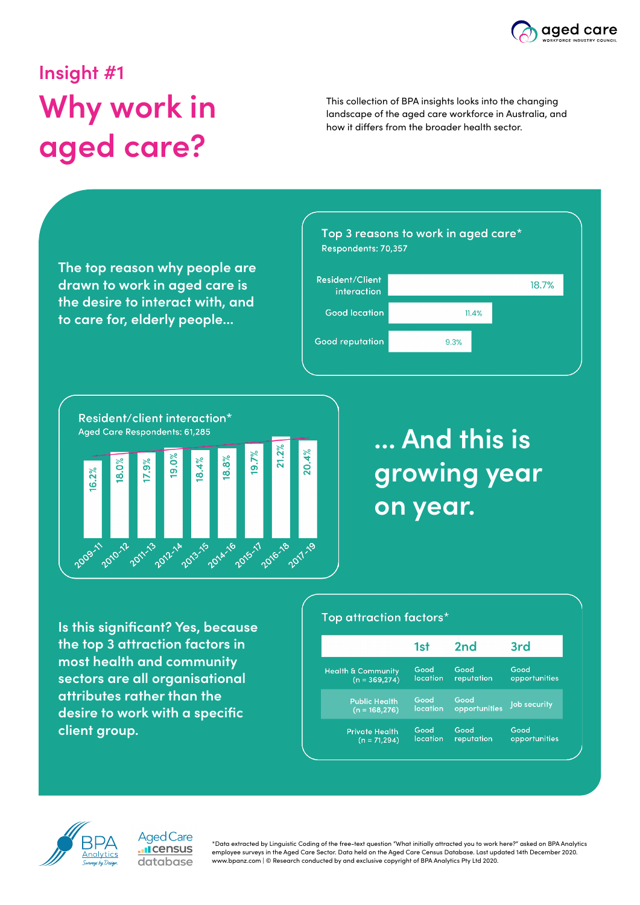

18.7%

## **Insight #1 Why work in aged care?**

This collection of BPA insights looks into the changing landscape of the aged care workforce in Australia, and how it differs from the broader health sector.

Top 3 reasons to work in aged care\* Respondents: 70,357 **The top reason why people are Resident/Client drawn to work in aged care is**  interaction **the desire to interact with, and Good location**  $11.4%$ **to care for, elderly people... Good reputation** 9.3%



### **... And this is growing year on year.**

**Is this significant? Yes, because the top 3 attraction factors in most health and community sectors are all organisational attributes rather than the desire to work with a specific client group.**

#### Top attraction factors\*

|                               | 1st             | 2 <sub>nd</sub> | 3rd           |
|-------------------------------|-----------------|-----------------|---------------|
| <b>Health &amp; Community</b> | Good            | Good            | Good          |
| $(n = 369, 274)$              | location        | reputation      | opportunities |
| <b>Public Health</b>          | Good            | Good            | Job security  |
| $(n = 168, 276)$              | <b>location</b> | opportunities   |               |
| <b>Private Health</b>         | Good            | Good            | Good          |
| $(n = 71,294)$                | location        | reputation      | opportunities |



Aged Care Il census database

\*Data extracted by Linguistic Coding of the free-text question "What initially attracted you to work here?" asked on BPA Analytics employee surveys in the Aged Care Sector. Data held on the Aged Care Census Database. Last updated 14th December 2020. www.bpanz.com | © Research conducted by and exclusive copyright of BPA Analytics Pty Ltd 2020.